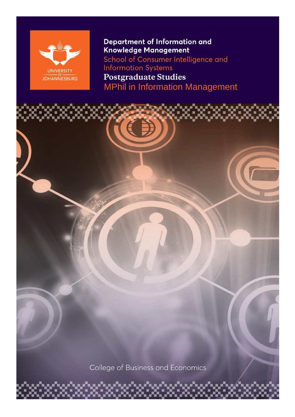

**Department of Information and** Knowledge Management School of Consumer Intelligence and **Information Systems Postgraduate Studies** MPhil in Information Management

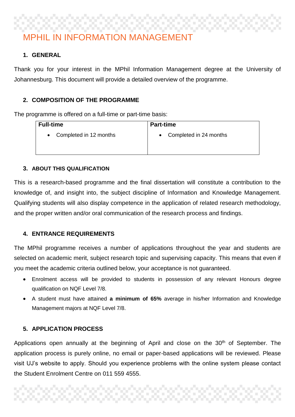# MPHIL IN INFORMATION MANAGEMENT

## **1. GENERAL**

Thank you for your interest in the MPhil Information Management degree at the University of Johannesburg. This document will provide a detailed overview of the programme.

## **2. COMPOSITION OF THE PROGRAMME**

The programme is offered on a full-time or part-time basis:

| <b>Full-time</b>       | <b>Part-time</b>       |
|------------------------|------------------------|
| Completed in 12 months | Completed in 24 months |
| $\bullet$              | $\bullet$              |

## **3. ABOUT THIS QUALIFICATION**

This is a research-based programme and the final dissertation will constitute a contribution to the knowledge of, and insight into, the subject discipline of Information and Knowledge Management. Qualifying students will also display competence in the application of related research methodology, and the proper written and/or oral communication of the research process and findings.

## **4. ENTRANCE REQUIREMENTS**

The MPhil programme receives a number of applications throughout the year and students are selected on academic merit, subject research topic and supervising capacity. This means that even if you meet the academic criteria outlined below, your acceptance is not guaranteed.

- Enrolment access will be provided to students in possession of any relevant Honours degree qualification on NQF Level 7/8.
- A student must have attained **a minimum of 65%** average in his/her Information and Knowledge Management majors at NQF Level 7/8.

## **5. APPLICATION PROCESS**

Applications open annually at the beginning of April and close on the 30<sup>th</sup> of September. The application process is purely online, no email or paper-based applications will be reviewed. Please visit UJ's website to apply. Should you experience problems with the online system please contact the Student Enrolment Centre on 011 559 4555.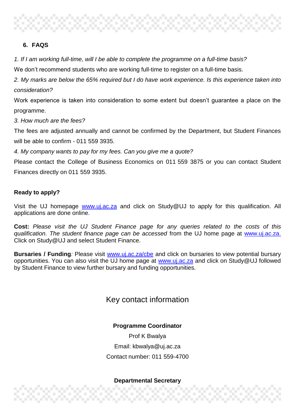## **6. FAQS**

*1. If I am working full-time, will I be able to complete the programme on a full-time basis?*

We don't recommend students who are working full-time to register on a full-time basis.

*2. My marks are below the 65% required but I do have work experience. Is this experience taken into consideration?*

Work experience is taken into consideration to some extent but doesn't guarantee a place on the programme.

*3. How much are the fees?*

The fees are adjusted annually and cannot be confirmed by the Department, but Student Finances will be able to confirm - 011 559 3935.

*4. My company wants to pay for my fees. Can you give me a quote?*

Please contact the College of Business Economics on 011 559 3875 or you can contact Student Finances directly on 011 559 3935.

## **Ready to apply?**

Visit the UJ homepage [www.uj.ac.za](http://www.uj.ac.za/) and click on Study@UJ to apply for this qualification. All applications are done online.

**Cost:** *Please visit the UJ Student Finance page for any queries related to the costs of this qualification. The student finance page can be accessed* from the UJ home page at [www.uj.ac.za.](http://www.uj.ac.za/) Click on Study@UJ and select Student Finance.

**Bursaries / Funding***:* Please visit [www.uj.ac.za/cbe](http://www.uj.ac.za/cbe) and click on bursaries to view potential bursary opportunities. You can also visit the UJ home page at [www.uj.ac.za](http://www.uj.ac.za/) and click on Study@UJ followed by Student Finance to view further bursary and funding opportunities.

## Key contact information

## **Programme Coordinator**

Prof K Bwalya Email: kbwalya@uj.ac.za Contact number: 011 559-4700

#### **Departmental Secretary**